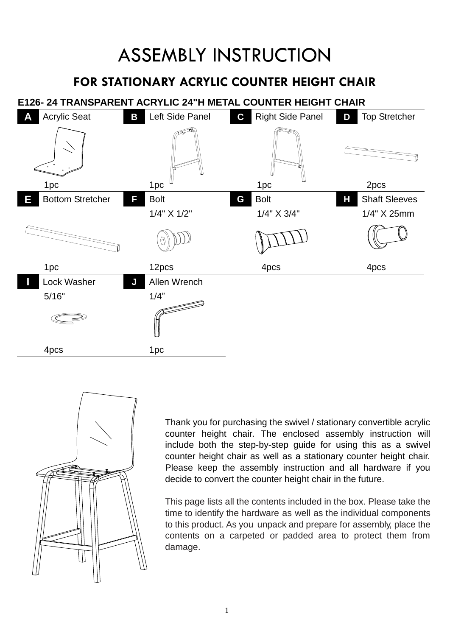## ASSEMBLY INSTRUCTION

### **FOR STATIONARY ACRYLIC COUNTER HEIGHT CHAIR**

### **E126- 24 TRANSPARENT ACRYLIC 24"H METAL COUNTER HEIGHT CHAIR**





Thank you for purchasing the swivel / stationary convertible acrylic counter height chair. The enclosed assembly instruction will include both the step-by-step guide for using this as a swivel counter height chair as well as a stationary counter height chair. Please keep the assembly instruction and all hardware if you decide to convert the counter height chair in the future.

This page lists all the contents included in the box. Please take the time to identify the hardware as well as the individual components to this product. As you unpack and prepare for assembly, place the contents on a carpeted or padded area to protect them from damage.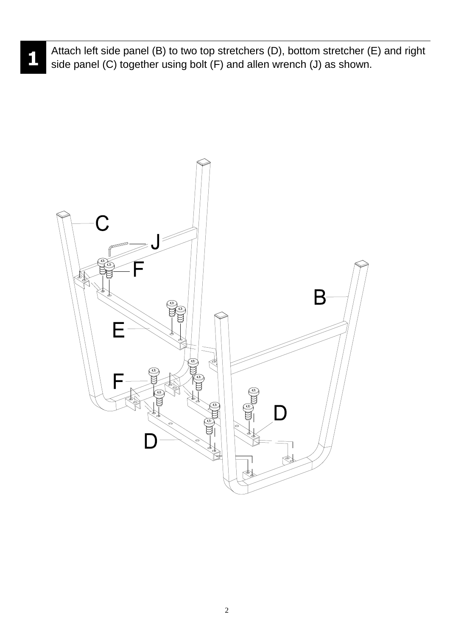Attach left side panel (B) to two top stretchers (D), bottom stretcher (E) and right side panel (C) together using bolt (F) and allen wrench (J) as shown.

 **1**



2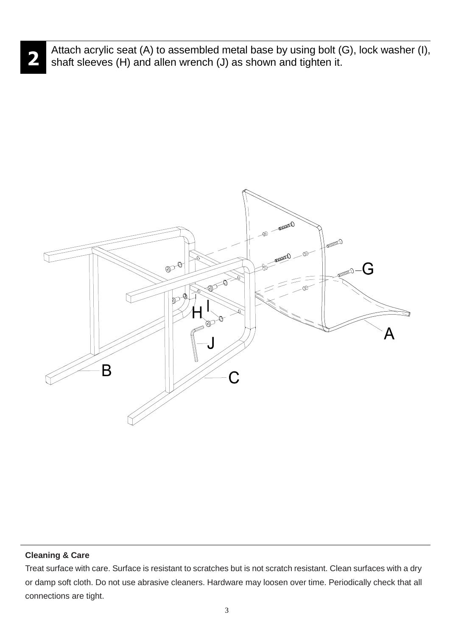Attach acrylic seat (A) to assembled metal base by using bolt (G), lock washer (I), shaft sleeves (H) and allen wrench (J) as shown and tighten it.



#### **Cleaning & Care**

**2**

Treat surface with care. Surface is resistant to scratches but is not scratch resistant. Clean surfaces with a dry or damp soft cloth. Do not use abrasive cleaners. Hardware may loosen over time. Periodically check that all connections are tight.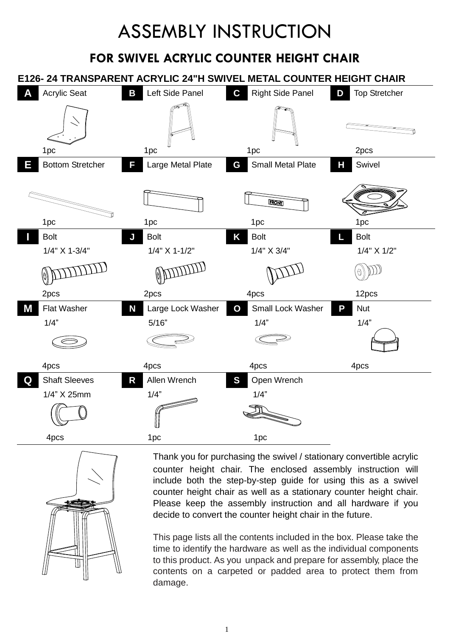# ASSEMBLY INSTRUCTION

## **FOR SWIVEL ACRYLIC COUNTER HEIGHT CHAIR**





Thank you for purchasing the swivel / stationary convertible acrylic counter height chair. The enclosed assembly instruction will include both the step-by-step guide for using this as a swivel counter height chair as well as a stationary counter height chair. Please keep the assembly instruction and all hardware if you decide to convert the counter height chair in the future.

This page lists all the contents included in the box. Please take the time to identify the hardware as well as the individual components to this product. As you unpack and prepare for assembly, place the contents on a carpeted or padded area to protect them from damage.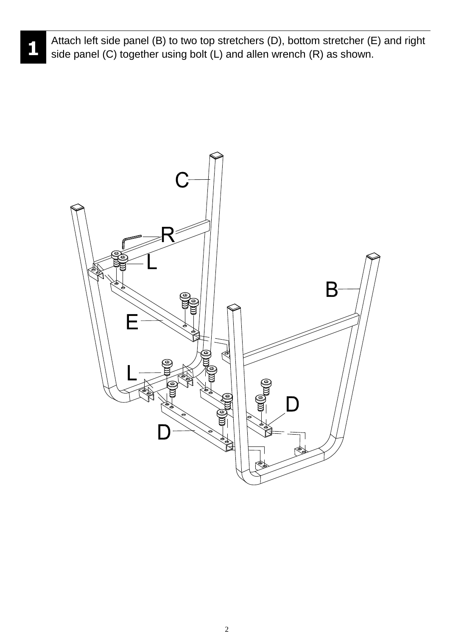

Attach left side panel (B) to two top stretchers (D), bottom stretcher (E) and right side panel (C) together using bolt (L) and allen wrench (R) as shown.

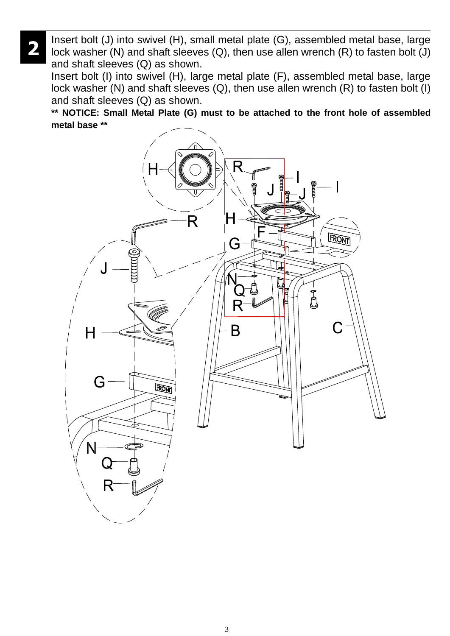Insert bolt (J) into swivel (H), small metal plate (G), assembled metal base, large lock washer (N) and shaft sleeves (Q), then use allen wrench (R) to fasten bolt (J) and shaft sleeves (Q) as shown.

 **2**

Insert bolt (I) into swivel (H), large metal plate (F), assembled metal base, large lock washer (N) and shaft sleeves (Q), then use allen wrench (R) to fasten bolt (I) and shaft sleeves (Q) as shown.

**\*\* NOTICE: Small Metal Plate (G) must to be attached to the front hole of assembled metal base \*\***